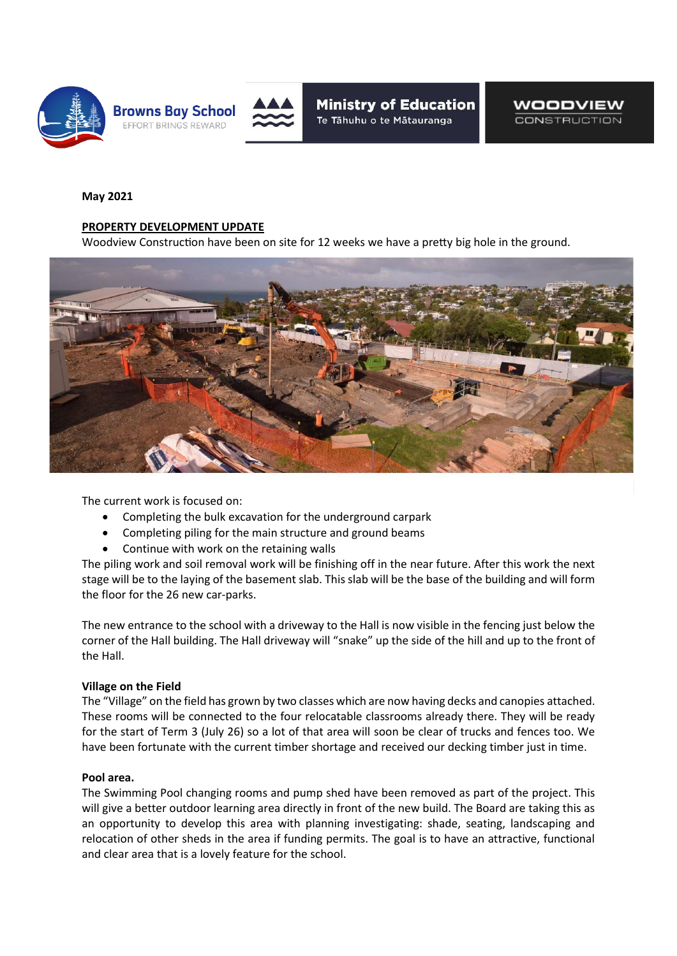



**Ministry of Education** Te Tāhuhu o te Mātauranga

WOODVIEW **CONSTRUCTION** 

## **May 2021**

## **PROPERTY DEVELOPMENT UPDATE**

Woodview Construction have been on site for 12 weeks we have a pretty big hole in the ground.



The current work is focused on:

- Completing the bulk excavation for the underground carpark
- Completing piling for the main structure and ground beams
- Continue with work on the retaining walls

The piling work and soil removal work will be finishing off in the near future. After this work the next stage will be to the laying of the basement slab. This slab will be the base of the building and will form the floor for the 26 new car-parks.

The new entrance to the school with a driveway to the Hall is now visible in the fencing just below the corner of the Hall building. The Hall driveway will "snake" up the side of the hill and up to the front of the Hall.

## **Village on the Field**

The "Village" on the field has grown by two classes which are now having decks and canopies attached. These rooms will be connected to the four relocatable classrooms already there. They will be ready for the start of Term 3 (July 26) so a lot of that area will soon be clear of trucks and fences too. We have been fortunate with the current timber shortage and received our decking timber just in time.

## **Pool area.**

The Swimming Pool changing rooms and pump shed have been removed as part of the project. This will give a better outdoor learning area directly in front of the new build. The Board are taking this as an opportunity to develop this area with planning investigating: shade, seating, landscaping and relocation of other sheds in the area if funding permits. The goal is to have an attractive, functional and clear area that is a lovely feature for the school.